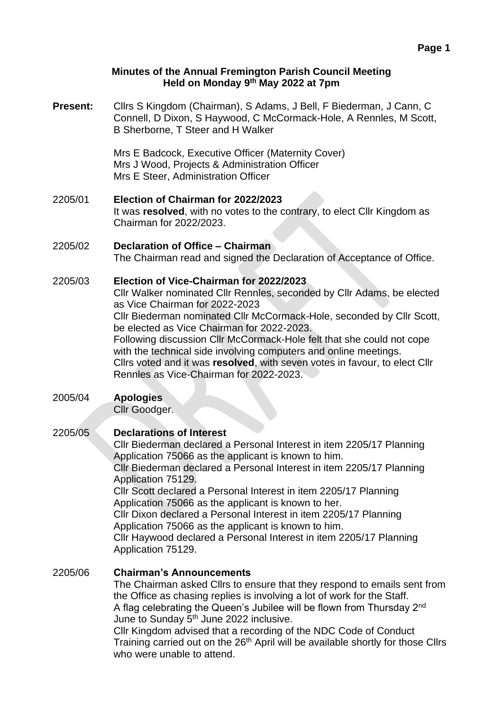#### **Minutes of the Annual Fremington Parish Council Meeting Held on Monday 9 th May 2022 at 7pm**

**Present:** Cllrs S Kingdom (Chairman), S Adams, J Bell, F Biederman, J Cann, C Connell, D Dixon, S Haywood, C McCormack-Hole, A Rennles, M Scott, B Sherborne, T Steer and H Walker

> Mrs E Badcock, Executive Officer (Maternity Cover) Mrs J Wood, Projects & Administration Officer Mrs E Steer, Administration Officer

- 2205/01 **Election of Chairman for 2022/2023** It was **resolved**, with no votes to the contrary, to elect Cllr Kingdom as Chairman for 2022/2023.
- 2205/02 **Declaration of Office – Chairman** The Chairman read and signed the Declaration of Acceptance of Office.

# 2205/03 **Election of Vice-Chairman for 2022/2023**

Cllr Walker nominated Cllr Rennles, seconded by Cllr Adams, be elected as Vice Chairman for 2022-2023

Cllr Biederman nominated Cllr McCormack-Hole, seconded by Cllr Scott, be elected as Vice Chairman for 2022-2023.

Following discussion Cllr McCormack-Hole felt that she could not cope with the technical side involving computers and online meetings.

Cllrs voted and it was **resolved**, with seven votes in favour, to elect Cllr Rennles as Vice-Chairman for 2022-2023.

#### 2005/04 **Apologies**

Cllr Goodger.

## 2205/05 **Declarations of Interest**

Cllr Biederman declared a Personal Interest in item 2205/17 Planning Application 75066 as the applicant is known to him.

Cllr Biederman declared a Personal Interest in item 2205/17 Planning Application 75129.

Cllr Scott declared a Personal Interest in item 2205/17 Planning Application 75066 as the applicant is known to her.

Cllr Dixon declared a Personal Interest in item 2205/17 Planning Application 75066 as the applicant is known to him.

Cllr Haywood declared a Personal Interest in item 2205/17 Planning Application 75129.

## 2205/06 **Chairman's Announcements**

The Chairman asked Cllrs to ensure that they respond to emails sent from the Office as chasing replies is involving a lot of work for the Staff. A flag celebrating the Queen's Jubilee will be flown from Thursday 2<sup>nd</sup> June to Sunday 5<sup>th</sup> June 2022 inclusive.

Cllr Kingdom advised that a recording of the NDC Code of Conduct Training carried out on the 26<sup>th</sup> April will be available shortly for those Cllrs who were unable to attend.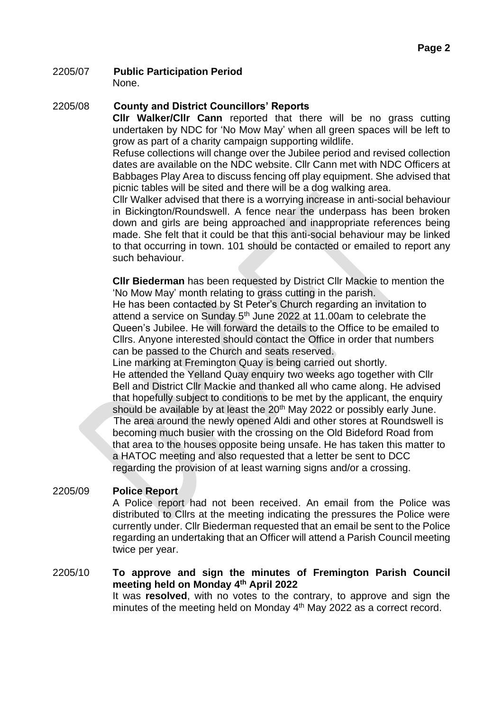#### 2205/07 **Public Participation Period** None.

### 2205/08 **County and District Councillors' Reports**

**Cllr Walker/Cllr Cann** reported that there will be no grass cutting undertaken by NDC for 'No Mow May' when all green spaces will be left to grow as part of a charity campaign supporting wildlife.

Refuse collections will change over the Jubilee period and revised collection dates are available on the NDC website. Cllr Cann met with NDC Officers at Babbages Play Area to discuss fencing off play equipment. She advised that picnic tables will be sited and there will be a dog walking area.

Cllr Walker advised that there is a worrying increase in anti-social behaviour in Bickington/Roundswell. A fence near the underpass has been broken down and girls are being approached and inappropriate references being made. She felt that it could be that this anti-social behaviour may be linked to that occurring in town. 101 should be contacted or emailed to report any such behaviour.

**Cllr Biederman** has been requested by District Cllr Mackie to mention the 'No Mow May' month relating to grass cutting in the parish.

He has been contacted by St Peter's Church regarding an invitation to attend a service on Sunday 5<sup>th</sup> June 2022 at 11.00am to celebrate the Queen's Jubilee. He will forward the details to the Office to be emailed to Cllrs. Anyone interested should contact the Office in order that numbers can be passed to the Church and seats reserved.

Line marking at Fremington Quay is being carried out shortly.

He attended the Yelland Quay enquiry two weeks ago together with Cllr Bell and District Cllr Mackie and thanked all who came along. He advised that hopefully subject to conditions to be met by the applicant, the enquiry should be available by at least the 20<sup>th</sup> May 2022 or possibly early June. The area around the newly opened Aldi and other stores at Roundswell is becoming much busier with the crossing on the Old Bideford Road from that area to the houses opposite being unsafe. He has taken this matter to a HATOC meeting and also requested that a letter be sent to DCC regarding the provision of at least warning signs and/or a crossing.

## 2205/09 **Police Report**

A Police report had not been received. An email from the Police was distributed to Cllrs at the meeting indicating the pressures the Police were currently under. Cllr Biederman requested that an email be sent to the Police regarding an undertaking that an Officer will attend a Parish Council meeting twice per year.

## 2205/10 **To approve and sign the minutes of Fremington Parish Council meeting held on Monday 4 th April 2022**

It was **resolved**, with no votes to the contrary, to approve and sign the minutes of the meeting held on Monday 4<sup>th</sup> May 2022 as a correct record.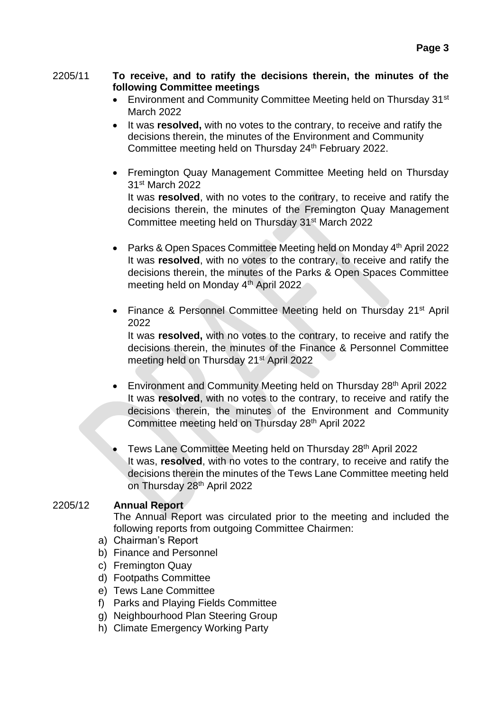### 2205/11 **To receive, and to ratify the decisions therein, the minutes of the following Committee meetings**

- Environment and Community Committee Meeting held on Thursday 31<sup>st</sup> March 2022
- It was **resolved,** with no votes to the contrary, to receive and ratify the decisions therein, the minutes of the Environment and Community Committee meeting held on Thursday 24<sup>th</sup> February 2022.
- Fremington Quay Management Committee Meeting held on Thursday 31st March 2022 It was **resolved**, with no votes to the contrary, to receive and ratify the decisions therein, the minutes of the Fremington Quay Management Committee meeting held on Thursday 31st March 2022
- Parks & Open Spaces Committee Meeting held on Monday 4<sup>th</sup> April 2022 It was **resolved**, with no votes to the contrary, to receive and ratify the decisions therein, the minutes of the Parks & Open Spaces Committee meeting held on Monday 4<sup>th</sup> April 2022
- Finance & Personnel Committee Meeting held on Thursday 21<sup>st</sup> April 2022

It was **resolved,** with no votes to the contrary, to receive and ratify the decisions therein, the minutes of the Finance & Personnel Committee meeting held on Thursday 21st April 2022

- Environment and Community Meeting held on Thursday 28<sup>th</sup> April 2022 It was **resolved**, with no votes to the contrary, to receive and ratify the decisions therein, the minutes of the Environment and Community Committee meeting held on Thursday 28th April 2022
- Tews Lane Committee Meeting held on Thursday 28th April 2022 It was, **resolved**, with no votes to the contrary, to receive and ratify the decisions therein the minutes of the Tews Lane Committee meeting held on Thursday 28th April 2022

## 2205/12 **Annual Report**

The Annual Report was circulated prior to the meeting and included the following reports from outgoing Committee Chairmen:

- a) Chairman's Report
- b) Finance and Personnel
- c) Fremington Quay
- d) Footpaths Committee
- e) Tews Lane Committee
- f) Parks and Playing Fields Committee
- g) Neighbourhood Plan Steering Group
- h) Climate Emergency Working Party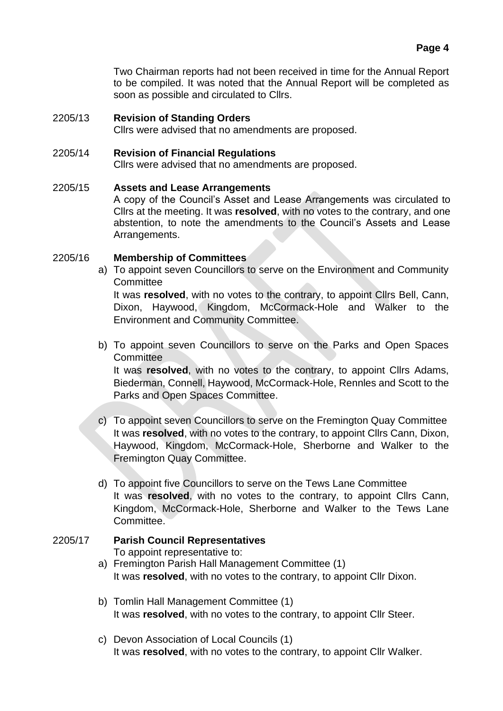Two Chairman reports had not been received in time for the Annual Report to be compiled. It was noted that the Annual Report will be completed as soon as possible and circulated to Cllrs.

### 2205/13 **Revision of Standing Orders**

Cllrs were advised that no amendments are proposed.

### 2205/14 **Revision of Financial Regulations**

Cllrs were advised that no amendments are proposed.

## 2205/15 **Assets and Lease Arrangements**

A copy of the Council's Asset and Lease Arrangements was circulated to Cllrs at the meeting. It was **resolved**, with no votes to the contrary, and one abstention, to note the amendments to the Council's Assets and Lease Arrangements.

#### 2205/16 **Membership of Committees**

a) To appoint seven Councillors to serve on the Environment and Community **Committee** 

It was **resolved**, with no votes to the contrary, to appoint Cllrs Bell, Cann, Dixon, Haywood, Kingdom, McCormack-Hole and Walker to the Environment and Community Committee.

b) To appoint seven Councillors to serve on the Parks and Open Spaces **Committee** 

It was **resolved**, with no votes to the contrary, to appoint Cllrs Adams, Biederman, Connell, Haywood, McCormack-Hole, Rennles and Scott to the Parks and Open Spaces Committee.

- c) To appoint seven Councillors to serve on the Fremington Quay Committee It was **resolved**, with no votes to the contrary, to appoint Cllrs Cann, Dixon, Haywood, Kingdom, McCormack-Hole, Sherborne and Walker to the Fremington Quay Committee.
- d) To appoint five Councillors to serve on the Tews Lane Committee It was **resolved**, with no votes to the contrary, to appoint Cllrs Cann, Kingdom, McCormack-Hole, Sherborne and Walker to the Tews Lane Committee.

# 2205/17 **Parish Council Representatives** To appoint representative to:

- a) Fremington Parish Hall Management Committee (1) It was **resolved**, with no votes to the contrary, to appoint Cllr Dixon.
- b) Tomlin Hall Management Committee (1) It was **resolved**, with no votes to the contrary, to appoint Cllr Steer.
- c) Devon Association of Local Councils (1) It was **resolved**, with no votes to the contrary, to appoint Cllr Walker.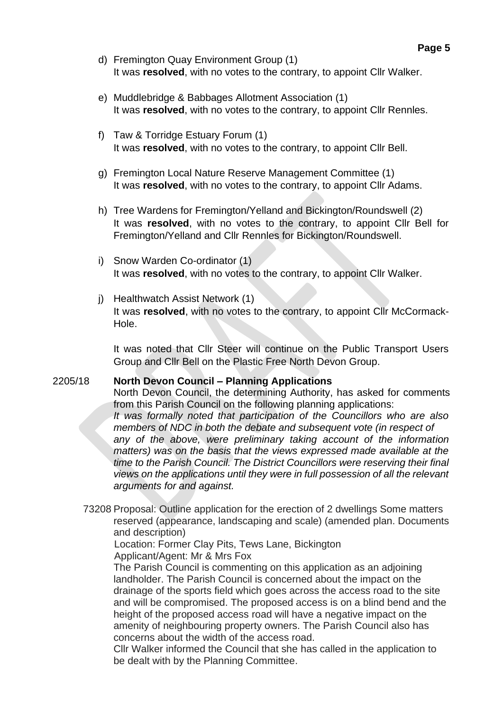- d) Fremington Quay Environment Group (1) It was **resolved**, with no votes to the contrary, to appoint Cllr Walker.
- e) Muddlebridge & Babbages Allotment Association (1) It was **resolved**, with no votes to the contrary, to appoint Cllr Rennles.
- f) Taw & Torridge Estuary Forum (1) It was **resolved**, with no votes to the contrary, to appoint Cllr Bell.
- g) Fremington Local Nature Reserve Management Committee (1) It was **resolved**, with no votes to the contrary, to appoint Cllr Adams.
- h) Tree Wardens for Fremington/Yelland and Bickington/Roundswell (2) It was **resolved**, with no votes to the contrary, to appoint Cllr Bell for Fremington/Yelland and Cllr Rennles for Bickington/Roundswell.
- i) Snow Warden Co-ordinator (1) It was **resolved**, with no votes to the contrary, to appoint Cllr Walker.
- j) Healthwatch Assist Network (1) It was **resolved**, with no votes to the contrary, to appoint Cllr McCormack-Hole.

It was noted that Cllr Steer will continue on the Public Transport Users Group and Cllr Bell on the Plastic Free North Devon Group.

#### 2205/18 **North Devon Council – Planning Applications**

North Devon Council, the determining Authority, has asked for comments from this Parish Council on the following planning applications:

*It was formally noted that participation of the Councillors who are also members of NDC in both the debate and subsequent vote (in respect of any of the above, were preliminary taking account of the information matters) was on the basis that the views expressed made available at the time to the Parish Council. The District Councillors were reserving their final views on the applications until they were in full possession of all the relevant arguments for and against.*

73208 Proposal: Outline application for the erection of 2 dwellings Some matters reserved (appearance, landscaping and scale) (amended plan. Documents and description)

 Location: Former Clay Pits, Tews Lane, Bickington Applicant/Agent: Mr & Mrs Fox

The Parish Council is commenting on this application as an adjoining landholder. The Parish Council is concerned about the impact on the drainage of the sports field which goes across the access road to the site and will be compromised. The proposed access is on a blind bend and the height of the proposed access road will have a negative impact on the amenity of neighbouring property owners. The Parish Council also has concerns about the width of the access road.

Cllr Walker informed the Council that she has called in the application to be dealt with by the Planning Committee.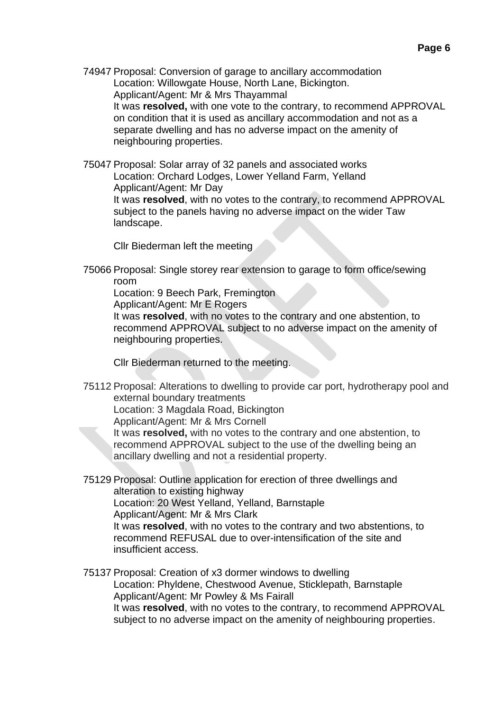74947 Proposal: Conversion of garage to ancillary accommodation Location: Willowgate House, North Lane, Bickington. Applicant/Agent: Mr & Mrs Thayammal It was **resolved,** with one vote to the contrary, to recommend APPROVAL on condition that it is used as ancillary accommodation and not as a separate dwelling and has no adverse impact on the amenity of neighbouring properties.

75047 Proposal: Solar array of 32 panels and associated works Location: Orchard Lodges, Lower Yelland Farm, Yelland Applicant/Agent: Mr Day It was **resolved**, with no votes to the contrary, to recommend APPROVAL subject to the panels having no adverse impact on the wider Taw landscape.

Cllr Biederman left the meeting

75066 Proposal: Single storey rear extension to garage to form office/sewing room

Location: 9 Beech Park, Fremington

Applicant/Agent: Mr E Rogers

It was **resolved**, with no votes to the contrary and one abstention, to recommend APPROVAL subject to no adverse impact on the amenity of neighbouring properties.

Cllr Biederman returned to the meeting.

75112 Proposal: Alterations to dwelling to provide car port, hydrotherapy pool and external boundary treatments

Location: 3 Magdala Road, Bickington

Applicant/Agent: Mr & Mrs Cornell

It was **resolved,** with no votes to the contrary and one abstention, to recommend APPROVAL subject to the use of the dwelling being an ancillary dwelling and not a residential property.

75129 Proposal: Outline application for erection of three dwellings and alteration to existing highway Location: 20 West Yelland, Yelland, Barnstaple Applicant/Agent: Mr & Mrs Clark It was **resolved**, with no votes to the contrary and two abstentions, to recommend REFUSAL due to over-intensification of the site and insufficient access.

75137 Proposal: Creation of x3 dormer windows to dwelling Location: Phyldene, Chestwood Avenue, Sticklepath, Barnstaple Applicant/Agent: Mr Powley & Ms Fairall It was **resolved**, with no votes to the contrary, to recommend APPROVAL subject to no adverse impact on the amenity of neighbouring properties.